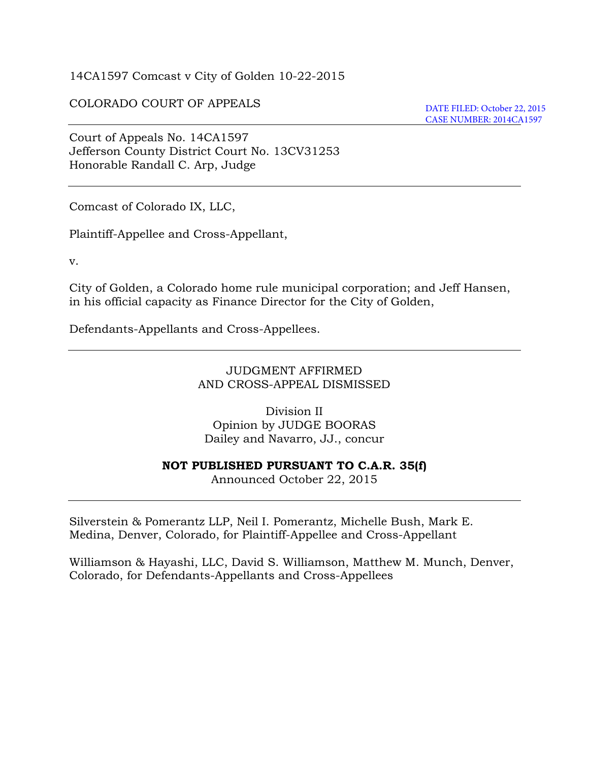14CA1597 Comcast v City of Golden 10-22-2015

#### COLORADO COURT OF APPEALS

DATE FILED: October 22, 2015 CASE NUMBER: 2014CA1597

Court of Appeals No. 14CA1597 Jefferson County District Court No. 13CV31253 Honorable Randall C. Arp, Judge

Comcast of Colorado IX, LLC,

Plaintiff-Appellee and Cross-Appellant,

v.

City of Golden, a Colorado home rule municipal corporation; and Jeff Hansen, in his official capacity as Finance Director for the City of Golden,

Defendants-Appellants and Cross-Appellees.

JUDGMENT AFFIRMED AND CROSS-APPEAL DISMISSED

Division II Opinion by JUDGE BOORAS Dailey and Navarro, JJ., concur

#### **NOT PUBLISHED PURSUANT TO C.A.R. 35(f)**

Announced October 22, 2015

Silverstein & Pomerantz LLP, Neil I. Pomerantz, Michelle Bush, Mark E. Medina, Denver, Colorado, for Plaintiff-Appellee and Cross-Appellant

Williamson & Hayashi, LLC, David S. Williamson, Matthew M. Munch, Denver, Colorado, for Defendants-Appellants and Cross-Appellees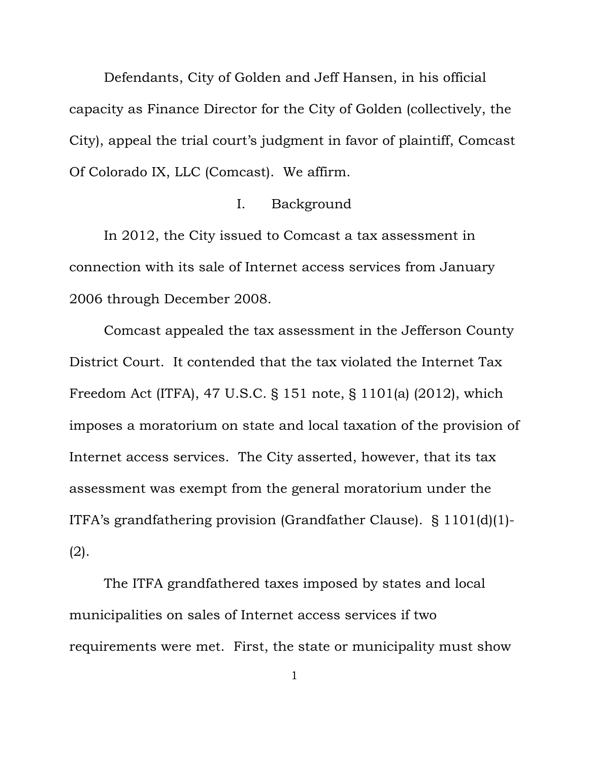Defendants, City of Golden and Jeff Hansen, in his official capacity as Finance Director for the City of Golden (collectively, the City), appeal the trial court's judgment in favor of plaintiff, Comcast Of Colorado IX, LLC (Comcast). We affirm.

### I. Background

In 2012, the City issued to Comcast a tax assessment in connection with its sale of Internet access services from January 2006 through December 2008.

Comcast appealed the tax assessment in the Jefferson County District Court. It contended that the tax violated the Internet Tax Freedom Act (ITFA), 47 U.S.C. § 151 note, § 1101(a) (2012), which imposes a moratorium on state and local taxation of the provision of Internet access services. The City asserted, however, that its tax assessment was exempt from the general moratorium under the ITFA's grandfathering provision (Grandfather Clause). § 1101(d)(1)- (2).

The ITFA grandfathered taxes imposed by states and local municipalities on sales of Internet access services if two requirements were met. First, the state or municipality must show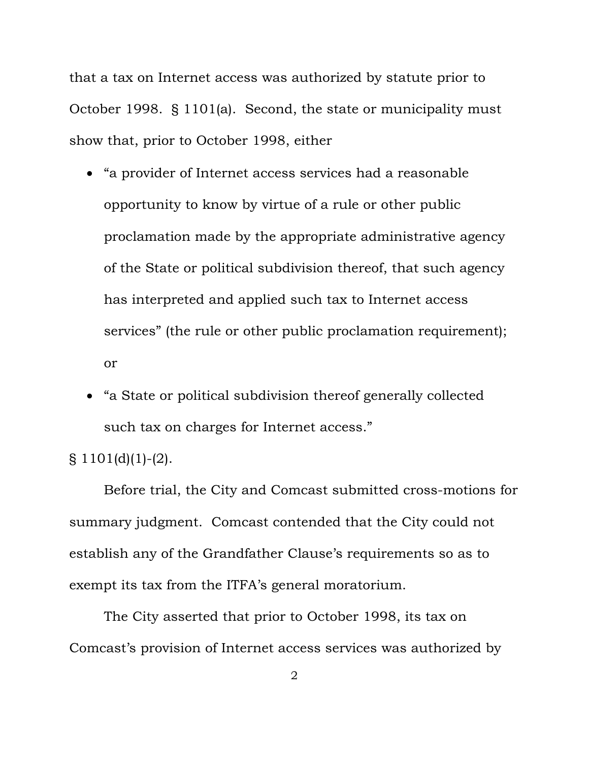that a tax on Internet access was authorized by statute prior to October 1998. § 1101(a). Second, the state or municipality must show that, prior to October 1998, either

- "a provider of Internet access services had a reasonable opportunity to know by virtue of a rule or other public proclamation made by the appropriate administrative agency of the State or political subdivision thereof, that such agency has interpreted and applied such tax to Internet access services" (the rule or other public proclamation requirement); or
- "a State or political subdivision thereof generally collected such tax on charges for Internet access."

§ 1101(d)(1)-(2).

Before trial, the City and Comcast submitted cross-motions for summary judgment. Comcast contended that the City could not establish any of the Grandfather Clause's requirements so as to exempt its tax from the ITFA's general moratorium.

The City asserted that prior to October 1998, its tax on Comcast's provision of Internet access services was authorized by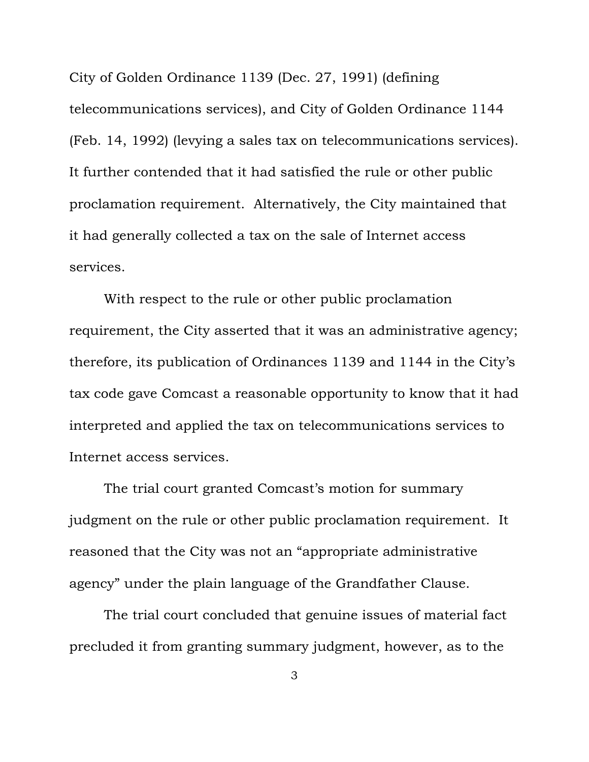City of Golden Ordinance 1139 (Dec. 27, 1991) (defining telecommunications services), and City of Golden Ordinance 1144 (Feb. 14, 1992) (levying a sales tax on telecommunications services). It further contended that it had satisfied the rule or other public proclamation requirement. Alternatively, the City maintained that it had generally collected a tax on the sale of Internet access services.

With respect to the rule or other public proclamation requirement, the City asserted that it was an administrative agency; therefore, its publication of Ordinances 1139 and 1144 in the City's tax code gave Comcast a reasonable opportunity to know that it had interpreted and applied the tax on telecommunications services to Internet access services.

The trial court granted Comcast's motion for summary judgment on the rule or other public proclamation requirement. It reasoned that the City was not an "appropriate administrative agency" under the plain language of the Grandfather Clause.

The trial court concluded that genuine issues of material fact precluded it from granting summary judgment, however, as to the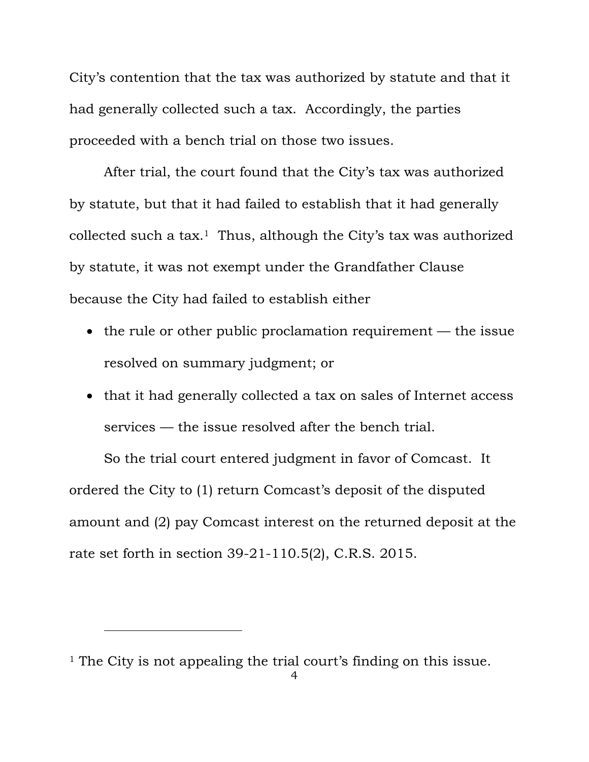City's contention that the tax was authorized by statute and that it had generally collected such a tax. Accordingly, the parties proceeded with a bench trial on those two issues.

After trial, the court found that the City's tax was authorized by statute, but that it had failed to establish that it had generally collected such a tax.<sup>1</sup> Thus, although the City's tax was authorized by statute, it was not exempt under the Grandfather Clause because the City had failed to establish either

- $\bullet$  the rule or other public proclamation requirement the issue resolved on summary judgment; or
- that it had generally collected a tax on sales of Internet access services — the issue resolved after the bench trial.

So the trial court entered judgment in favor of Comcast. It ordered the City to (1) return Comcast's deposit of the disputed amount and (2) pay Comcast interest on the returned deposit at the rate set forth in section 39-21-110.5(2), C.R.S. 2015.

-

<sup>&</sup>lt;sup>1</sup> The City is not appealing the trial court's finding on this issue.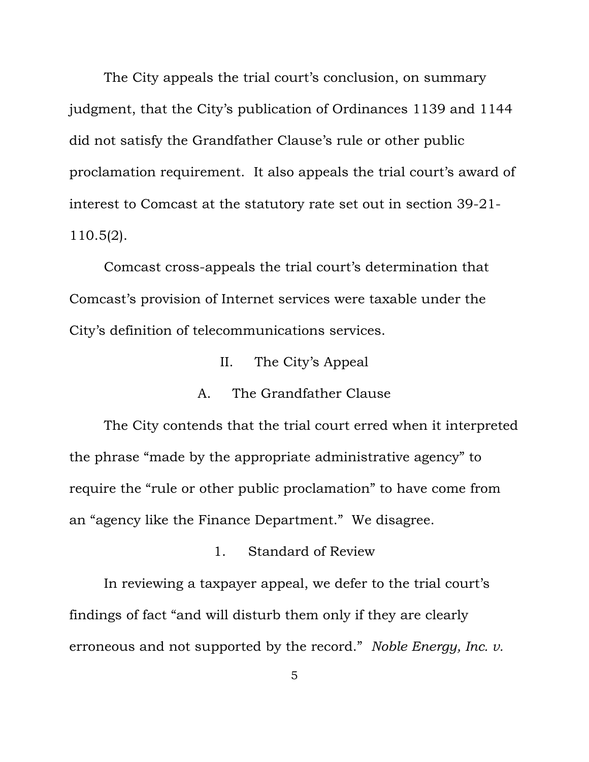The City appeals the trial court's conclusion, on summary judgment, that the City's publication of Ordinances 1139 and 1144 did not satisfy the Grandfather Clause's rule or other public proclamation requirement. It also appeals the trial court's award of interest to Comcast at the statutory rate set out in section 39-21- 110.5(2).

Comcast cross-appeals the trial court's determination that Comcast's provision of Internet services were taxable under the City's definition of telecommunications services.

II. The City's Appeal

# A. The Grandfather Clause

The City contends that the trial court erred when it interpreted the phrase "made by the appropriate administrative agency" to require the "rule or other public proclamation" to have come from an "agency like the Finance Department." We disagree.

1. Standard of Review

In reviewing a taxpayer appeal, we defer to the trial court's findings of fact "and will disturb them only if they are clearly erroneous and not supported by the record." *Noble Energy, Inc. v.*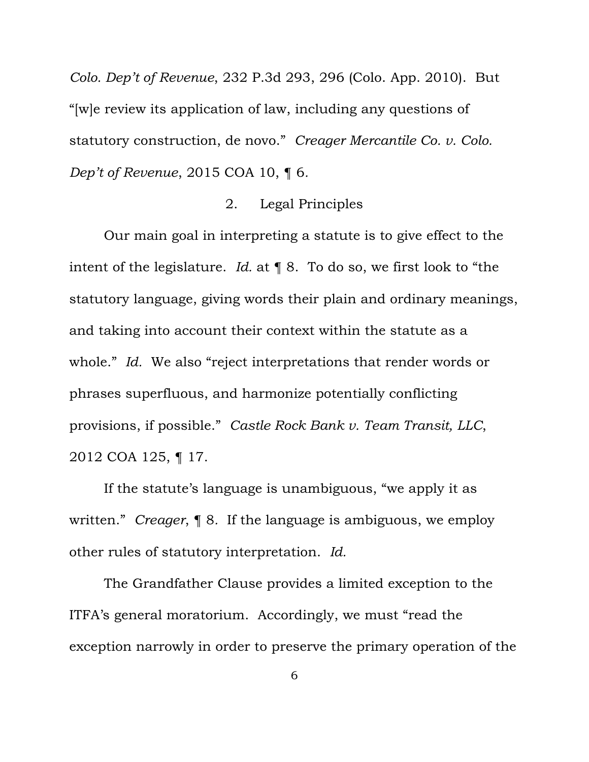*Colo. Dep't of Revenue*, 232 P.3d 293, 296 (Colo. App. 2010). But "[w]e review its application of law, including any questions of statutory construction, de novo." *Creager Mercantile Co. v. Colo. Dep't of Revenue*, 2015 COA 10, ¶ 6*.*

### 2. Legal Principles

Our main goal in interpreting a statute is to give effect to the intent of the legislature. *Id.* at ¶ 8. To do so, we first look to "the statutory language, giving words their plain and ordinary meanings, and taking into account their context within the statute as a whole." *Id.* We also "reject interpretations that render words or phrases superfluous, and harmonize potentially conflicting provisions, if possible." *Castle Rock Bank v. Team Transit, LLC*, 2012 COA 125, ¶ 17.

If the statute's language is unambiguous, "we apply it as written." *Creager*, ¶ 8*.* If the language is ambiguous, we employ other rules of statutory interpretation. *Id.*

The Grandfather Clause provides a limited exception to the ITFA's general moratorium. Accordingly, we must "read the exception narrowly in order to preserve the primary operation of the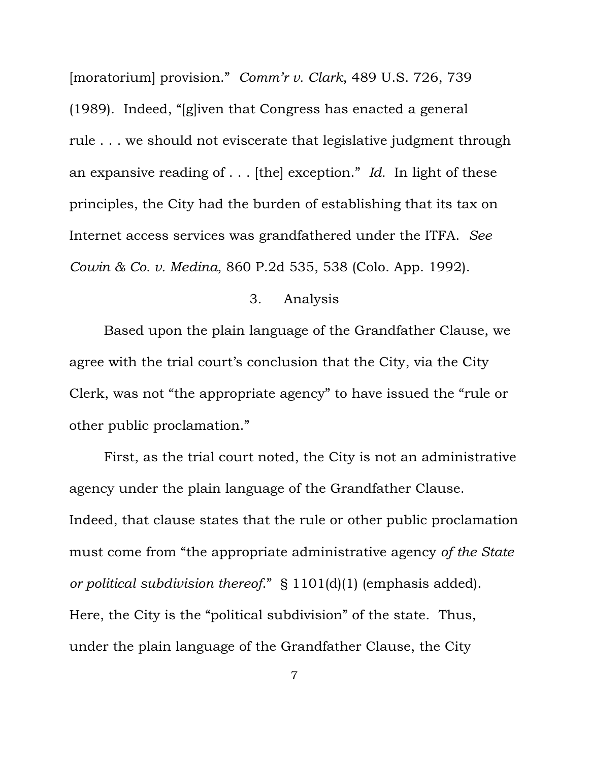[moratorium] provision." *Comm'r v. Clark*, 489 U.S. 726, 739 (1989). Indeed, "[g]iven that Congress has enacted a general rule . . . we should not eviscerate that legislative judgment through an expansive reading of . . . [the] exception." *Id.* In light of these principles, the City had the burden of establishing that its tax on Internet access services was grandfathered under the ITFA. *See Cowin & Co. v. Medina*, 860 P.2d 535, 538 (Colo. App. 1992).

#### 3. Analysis

Based upon the plain language of the Grandfather Clause, we agree with the trial court's conclusion that the City, via the City Clerk, was not "the appropriate agency" to have issued the "rule or other public proclamation."

First, as the trial court noted, the City is not an administrative agency under the plain language of the Grandfather Clause. Indeed, that clause states that the rule or other public proclamation must come from "the appropriate administrative agency *of the State or political subdivision thereof*." § 1101(d)(1) (emphasis added). Here, the City is the "political subdivision" of the state. Thus, under the plain language of the Grandfather Clause, the City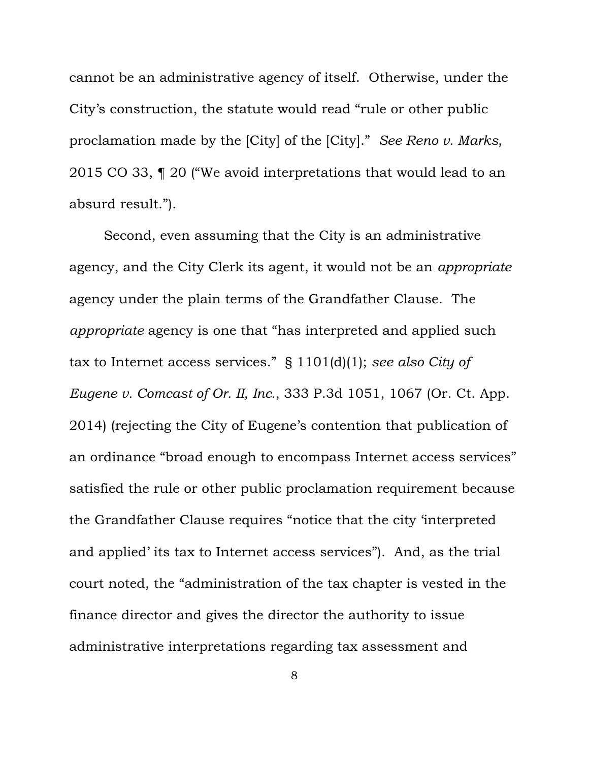cannot be an administrative agency of itself. Otherwise, under the City's construction, the statute would read "rule or other public proclamation made by the [City] of the [City]." *See Reno v. Marks*, 2015 CO 33, ¶ 20 ("We avoid interpretations that would lead to an absurd result.").

Second, even assuming that the City is an administrative agency, and the City Clerk its agent, it would not be an *appropriate*  agency under the plain terms of the Grandfather Clause. The *appropriate* agency is one that "has interpreted and applied such tax to Internet access services." § 1101(d)(1); *see also City of Eugene v. Comcast of Or. II, Inc.*, 333 P.3d 1051, 1067 (Or. Ct. App. 2014) (rejecting the City of Eugene's contention that publication of an ordinance "broad enough to encompass Internet access services" satisfied the rule or other public proclamation requirement because the Grandfather Clause requires "notice that the city 'interpreted and applied' its tax to Internet access services"). And, as the trial court noted, the "administration of the tax chapter is vested in the finance director and gives the director the authority to issue administrative interpretations regarding tax assessment and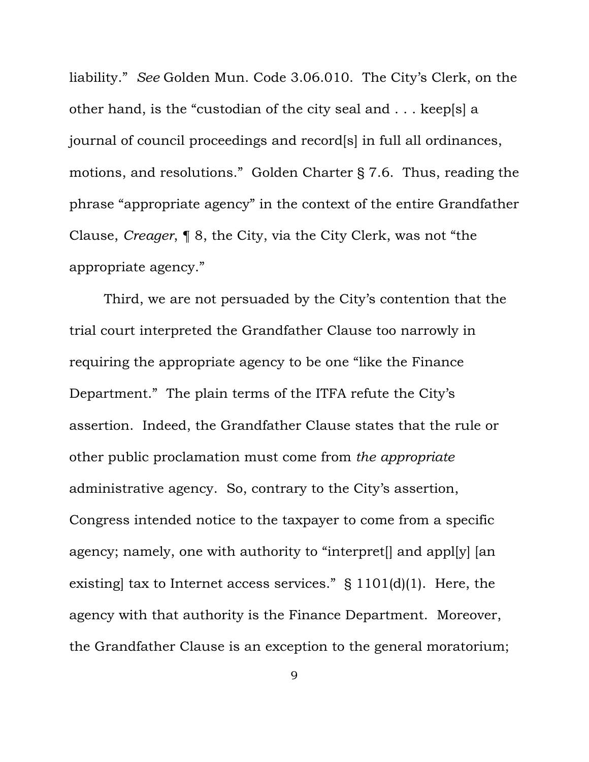liability." *See* Golden Mun. Code 3.06.010. The City's Clerk, on the other hand, is the "custodian of the city seal and . . . keep[s] a journal of council proceedings and record[s] in full all ordinances, motions, and resolutions." Golden Charter § 7.6. Thus, reading the phrase "appropriate agency" in the context of the entire Grandfather Clause, *Creager*, ¶ 8, the City, via the City Clerk, was not "the appropriate agency."

Third, we are not persuaded by the City's contention that the trial court interpreted the Grandfather Clause too narrowly in requiring the appropriate agency to be one "like the Finance Department." The plain terms of the ITFA refute the City's assertion. Indeed, the Grandfather Clause states that the rule or other public proclamation must come from *the appropriate*  administrative agency. So, contrary to the City's assertion, Congress intended notice to the taxpayer to come from a specific agency; namely, one with authority to "interpret[] and appl[y] [an existing] tax to Internet access services." § 1101(d)(1). Here, the agency with that authority is the Finance Department. Moreover, the Grandfather Clause is an exception to the general moratorium;

9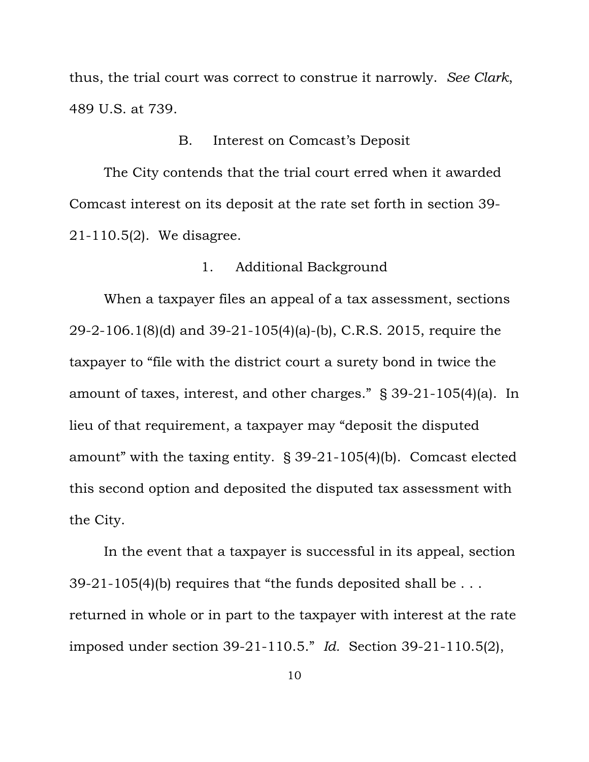thus, the trial court was correct to construe it narrowly. *See Clark*, 489 U.S. at 739.

#### B. Interest on Comcast's Deposit

The City contends that the trial court erred when it awarded Comcast interest on its deposit at the rate set forth in section 39- 21-110.5(2). We disagree.

# 1. Additional Background

When a taxpayer files an appeal of a tax assessment, sections 29-2-106.1(8)(d) and 39-21-105(4)(a)-(b), C.R.S. 2015, require the taxpayer to "file with the district court a surety bond in twice the amount of taxes, interest, and other charges." § 39-21-105(4)(a). In lieu of that requirement, a taxpayer may "deposit the disputed amount" with the taxing entity. § 39-21-105(4)(b). Comcast elected this second option and deposited the disputed tax assessment with the City.

In the event that a taxpayer is successful in its appeal, section 39-21-105(4)(b) requires that "the funds deposited shall be  $\dots$ returned in whole or in part to the taxpayer with interest at the rate imposed under section 39-21-110.5." *Id.* Section 39-21-110.5(2),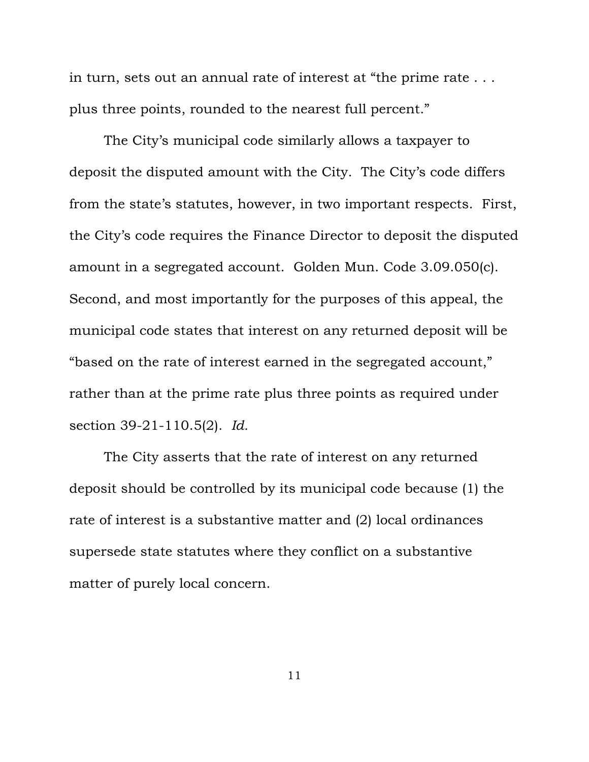in turn, sets out an annual rate of interest at "the prime rate . . . plus three points, rounded to the nearest full percent."

The City's municipal code similarly allows a taxpayer to deposit the disputed amount with the City. The City's code differs from the state's statutes, however, in two important respects. First, the City's code requires the Finance Director to deposit the disputed amount in a segregated account. Golden Mun. Code 3.09.050(c). Second, and most importantly for the purposes of this appeal, the municipal code states that interest on any returned deposit will be "based on the rate of interest earned in the segregated account," rather than at the prime rate plus three points as required under section 39-21-110.5(2). *Id.*

The City asserts that the rate of interest on any returned deposit should be controlled by its municipal code because (1) the rate of interest is a substantive matter and (2) local ordinances supersede state statutes where they conflict on a substantive matter of purely local concern.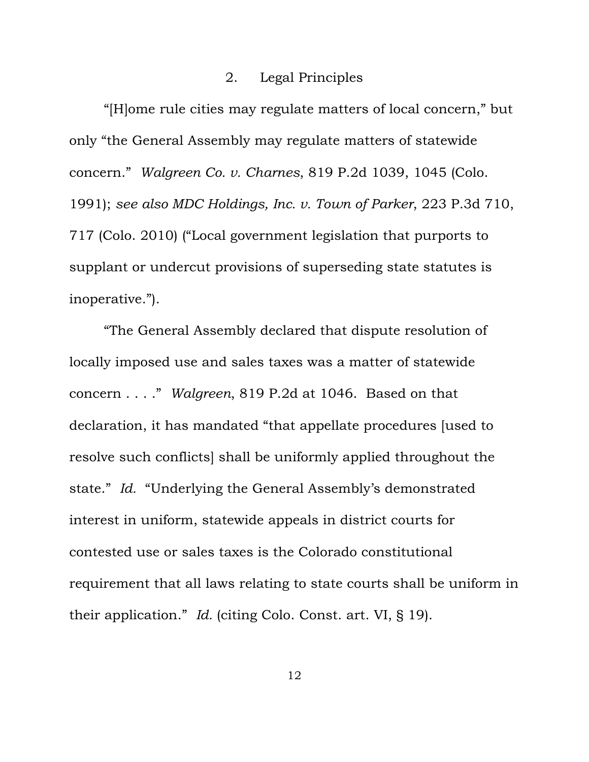#### 2. Legal Principles

"[H]ome rule cities may regulate matters of local concern," but only "the General Assembly may regulate matters of statewide concern." *Walgreen Co. v. Charnes*, 819 P.2d 1039, 1045 (Colo. 1991); *see also MDC Holdings, Inc. v. Town of Parker*, 223 P.3d 710, 717 (Colo. 2010) ("Local government legislation that purports to supplant or undercut provisions of superseding state statutes is inoperative.").

"The General Assembly declared that dispute resolution of locally imposed use and sales taxes was a matter of statewide concern . . . ." *Walgreen*, 819 P.2d at 1046. Based on that declaration, it has mandated "that appellate procedures [used to resolve such conflicts] shall be uniformly applied throughout the state." *Id.* "Underlying the General Assembly's demonstrated interest in uniform, statewide appeals in district courts for contested use or sales taxes is the Colorado constitutional requirement that all laws relating to state courts shall be uniform in their application." *Id.* (citing Colo. Const. art. VI, § 19).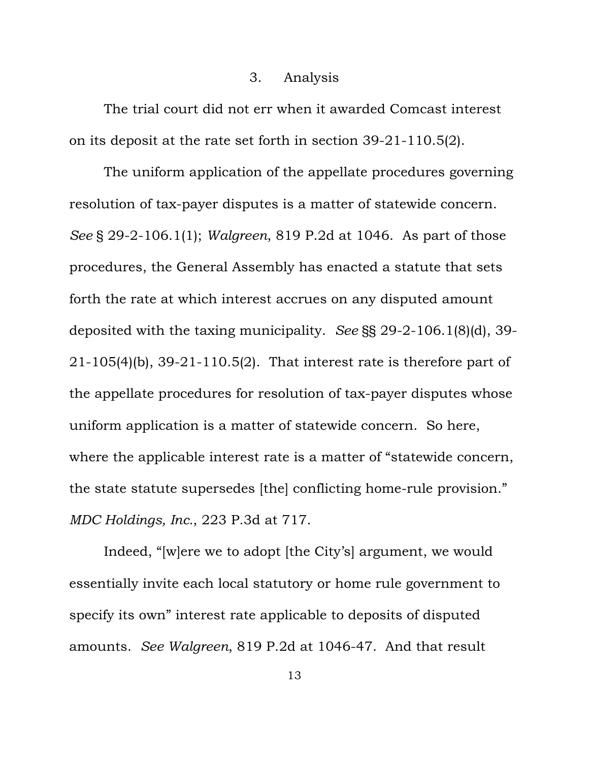#### 3. Analysis

The trial court did not err when it awarded Comcast interest on its deposit at the rate set forth in section 39-21-110.5(2).

The uniform application of the appellate procedures governing resolution of tax-payer disputes is a matter of statewide concern. *See* § 29-2-106.1(1); *Walgreen*, 819 P.2d at 1046. As part of those procedures, the General Assembly has enacted a statute that sets forth the rate at which interest accrues on any disputed amount deposited with the taxing municipality. *See* §§ 29-2-106.1(8)(d), 39- 21-105(4)(b), 39-21-110.5(2). That interest rate is therefore part of the appellate procedures for resolution of tax-payer disputes whose uniform application is a matter of statewide concern. So here, where the applicable interest rate is a matter of "statewide concern, the state statute supersedes [the] conflicting home-rule provision." *MDC Holdings, Inc.*, 223 P.3d at 717.

Indeed, "[w]ere we to adopt [the City's] argument, we would essentially invite each local statutory or home rule government to specify its own" interest rate applicable to deposits of disputed amounts. *See Walgreen*, 819 P.2d at 1046-47. And that result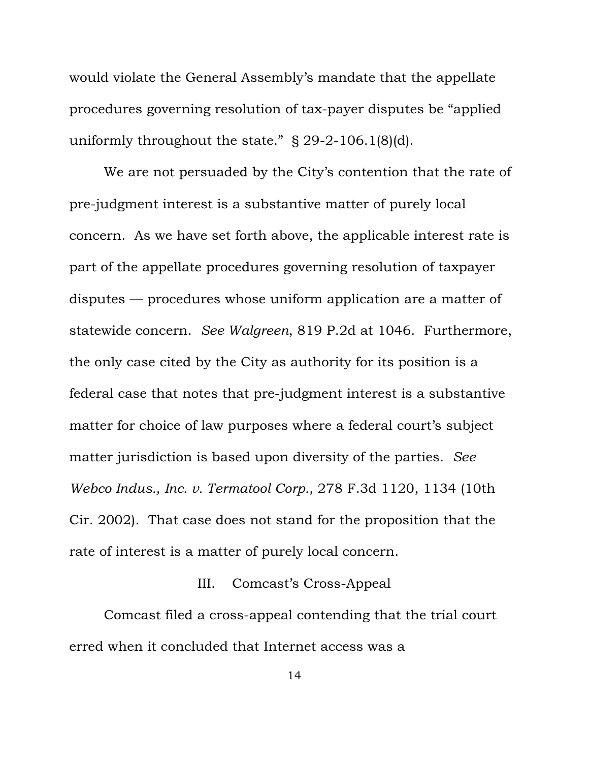would violate the General Assembly's mandate that the appellate procedures governing resolution of tax-payer disputes be "applied uniformly throughout the state." § 29-2-106.1(8)(d).

We are not persuaded by the City's contention that the rate of pre-judgment interest is a substantive matter of purely local concern. As we have set forth above, the applicable interest rate is part of the appellate procedures governing resolution of taxpayer disputes — procedures whose uniform application are a matter of statewide concern. *See Walgreen*, 819 P.2d at 1046. Furthermore, the only case cited by the City as authority for its position is a federal case that notes that pre-judgment interest is a substantive matter for choice of law purposes where a federal court's subject matter jurisdiction is based upon diversity of the parties. *See Webco Indus., Inc. v. Termatool Corp.*, 278 F.3d 1120, 1134 (10th Cir. 2002). That case does not stand for the proposition that the rate of interest is a matter of purely local concern.

# III. Comcast's Cross-Appeal

Comcast filed a cross-appeal contending that the trial court erred when it concluded that Internet access was a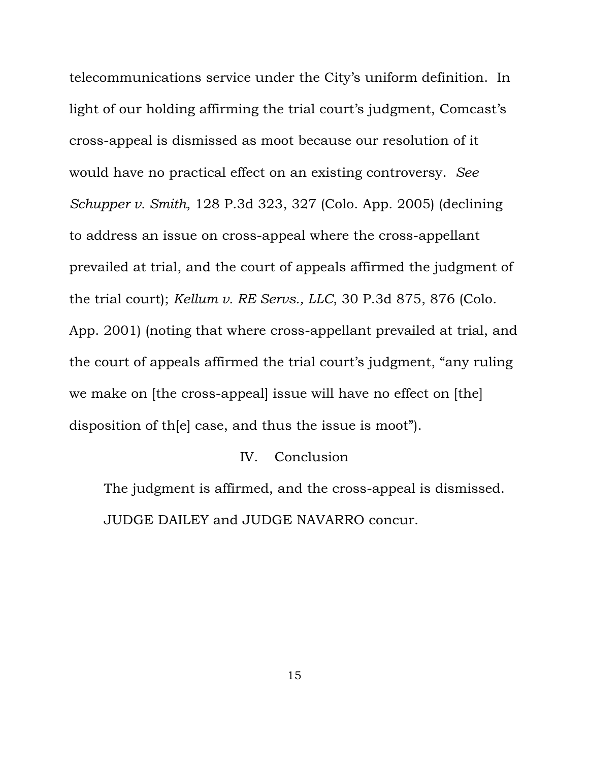telecommunications service under the City's uniform definition. In light of our holding affirming the trial court's judgment, Comcast's cross-appeal is dismissed as moot because our resolution of it would have no practical effect on an existing controversy. *See Schupper v. Smith*, 128 P.3d 323, 327 (Colo. App. 2005) (declining to address an issue on cross-appeal where the cross-appellant prevailed at trial, and the court of appeals affirmed the judgment of the trial court); *Kellum v. RE Servs., LLC*, 30 P.3d 875, 876 (Colo. App. 2001) (noting that where cross-appellant prevailed at trial, and the court of appeals affirmed the trial court's judgment, "any ruling we make on [the cross-appeal] issue will have no effect on [the] disposition of th[e] case, and thus the issue is moot").

# IV. Conclusion

The judgment is affirmed, and the cross-appeal is dismissed. JUDGE DAILEY and JUDGE NAVARRO concur.